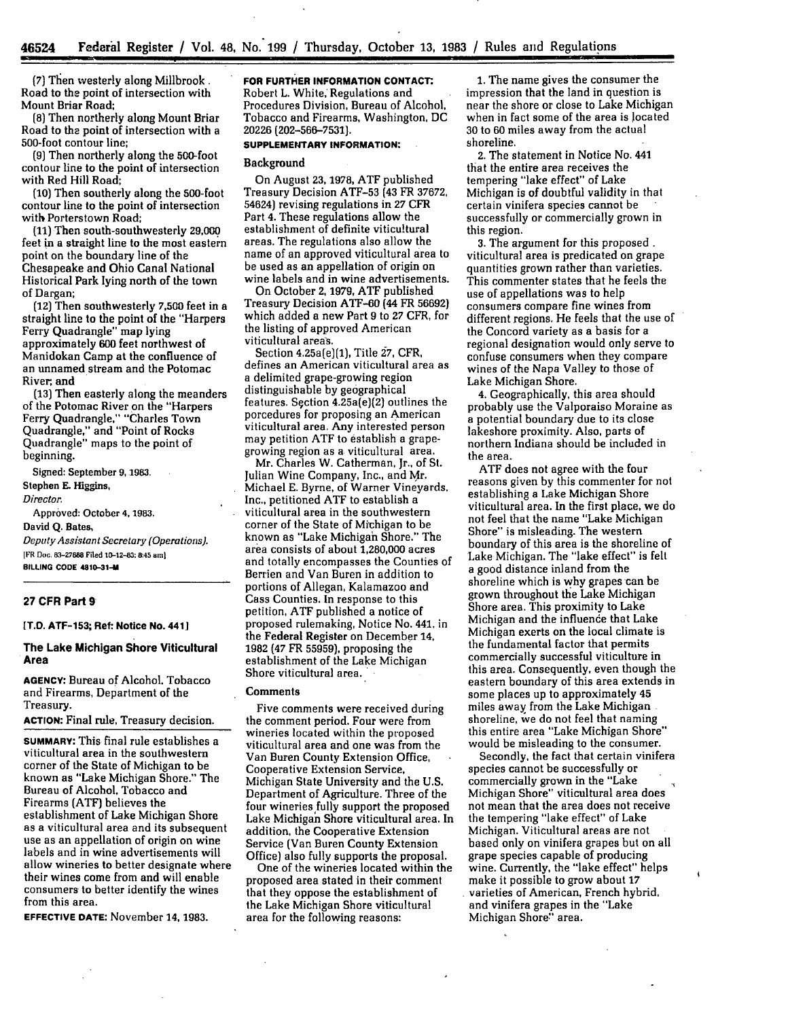(7) Then westerly along Millbrook. Road to the point of intersection with Mount Briar Road;

**(8)** Then northerly along Mount Briar Road to the point of intersection with a 500-foot contour line;

**(9)** Then northerly along the 500-foot contour line to the point of intersection with Red Hill Road;

**(10)** Then southerly along the 500-foot contour line to the point of intersection with Porterstown Road;

**(11)** Then south-southwesterly **29,000** feet in a straight line to the most eastern point on the boundary line of the Chesapeake and Ohio Canal National Historical Park lying north of the town of Dargan;

(12) Then southwesterly **7,500** feet in a straight line to the point of the "Harpers Ferry Quadrangle" map lying approximately **600** feet northwest of Manidokan Camp at the confluence of an unnamed stream and the Potomac River; and

**(13)** Then easterly along the meanders of the Potomac River on the "Harpers Ferry Quadrangle," "Charles Town Quadrangle," and "Point of Rocks Quadrangle" maps to the point of beginning.

Signed: September **9,1983.** Stephen **E.** Higgins, *Director.*

Approved: October **4,** 1983. David **Q.** Bates,

*Deputy Assistant Secretary (Operations).* [FR **Doc. 83-27888 Filed 10-12-83: &.45 ami BILLING CODE 4810-31-**

# **27 CFR Part 9**

### **[T.D. ATF-153; Ref: Notice No. 4411**

### **The Lake Michigan Shore Viticultural Area**

**AGENCY:** Bureau of Alcohol, Tobacco and Firearms, Department of the Treasury.

**ACTION:** Final rule, Treasury decision.

**SUMMARY:** This final rule establishes a viticultural area in the southwestern corner of the State of Michigan to be known as "Lake Michigan Shore." The Bureau of Alcohol, Tobacco and Firearms (ATF) believes the establishment of Lake Michigan Shore as a viticultural area and its subsequent use as an appellation of origin on wine labels and in wine advertisements will allow wineries to better designate where their wines come from and will enable consumers to better identify the wines from this area.

**EFFECTIVE DATE:** November **14, 1983.**

# **FOR FURTHER INFORMATION CONTACT.**

Robert L. White, Regulations and Procedures Division, Bureau of Alcohol, Tobacco and Firearms, Washington, DC 20226 (202-566-7531).

# **SUPPLEMENTARY INFORMATION:**

#### Background

On August 23, 1978, ATF published Treasury Decision ATF-53 (43 FR 37672, 54624) revising regulations in **27** CFR Part 4. These regulations allow the establishment of definite viticultural areas. The regulations also allow the name of an approved viticultural area to be used as an appellation of origin on wine labels and in wine advertisements.

On October 2, **1979, ATF** published Treasury Decision ATF-60 (44 FR 56692) which added a new Part 9 to **27** CFR, for the listing of approved American viticultural areas.

Section 4.25a(e)(1), Title **27,** CFR, defines an American viticultural area as a delimited grape-growing region distinguishable by geographical features. Sqction 4.25a(e){2) outlines the porcedures for proposing an American viticultural area. Any interested person may petition ATF to establish a grapegrowing region as a viticultural area.

Mr. Charles W. Catherman, Jr., of St. Julian Wine Company, Inc., and Mr. Michael E. Byrne, of Warner Vineyards. Inc., petitioned ATF to establish a viticultural area in the southwestern corner of the State of Michigan to be known as "Lake Michigan Shore." The area consists of about 1,280,000 acres and totally encompasses the Counties of Berrien and Van Buren in addition to portions of Allegan, Kalamazoo and Cass Counties. In response to this petition, ATF published a notice of proposed rulemaking, Notice No. 441, in the Federal Register on December 14, 1982 **(47** FR 55959), proposing the establishment of the Lake Michigan Shore viticultural area.

#### Comments

Five comments were received during the comment period. Four were from wineries located within the proposed viticultural area and one was from the Van Buren County Extension Office, Cooperative Extension Service, Michigan State University and the **U.S.** Department of Agriculture. Three of the four wineries fully support the proposed Lake Michigan Shore viticultural area. In addition, the Cooperative Extension Service (Van Buren County Extension Office) also fully supports the proposal.

One of the wineries located within the proposed area stated in their comment that they oppose the establishment of the Lake Michigan Shore viticultural area for the following reasons:

1. The name gives the consumer the impression that the land in question is near the shore or close to Lake Michigan when in fact some of the area is located **30** to **60** miles away from the actual shoreline.

2. The statement in Notice No. 441 that the entire area receives the tempering "lake effect" of Lake Michigan is of doubtful validity in that certain vinifera species cannot be successfully or commercially grown in this region.

**3.** The argument for this proposed. viticultural area is predicated on grape quantities grown rather than varieties. This commenter states that he feels the use of appellations was to help consumers compare fine wines from different regions. He feels that the use of the Concord variety as a basis for a regional designation would only serve to confuse consumers when they compare wines of the Napa Valley to those of Lake Michigan Shore.

**4.** Geographically, this area should probably use the Valporaiso Moraine as a potential boundary due to its close lakeshore proximity. Also, parts of northern Indiana should be included in the area.

ATF does not agree with the four reasons given by this commenter for not establishing a Lake Michigan Shore viticultural area. In the first place, we do not feel that the name "Lake Michigan Shore" is misleading. The western boundary of this area is the shoreline of Lake Michigan. The "lake effect" is felt a good distance inland from the shoreline which is why grapes can be grown throughout the Lake Michigan Shore area. This proximity to Lake Michigan and the influence that Lake Michigan exerts on the local climate is the fundamental factor that permits commercially successful viticulture in this area. Consequently. even though the eastern boundary of this area extends in some places up to approximately 45 miles away from the Lake Michigan shoreline, we do not feel that naming this entire area "Lake Michigan Shore" would be misleading to the consumer.

Secondly, the fact that certain vinifera species cannot be successfully or commercially grown in the "Lake Michigan Shore" viticultural area does not mean that the area does not receive the tempering "lake effect" of Lake Michigan. Viticultural areas are not based only on vinifera grapes but on all grape species capable of producing wine. Currently, the "lake effect" helps make it possible to grow about **17** varieties of American, French hybrid, and vinifera grapes in the "Lake Michigan Shore." area.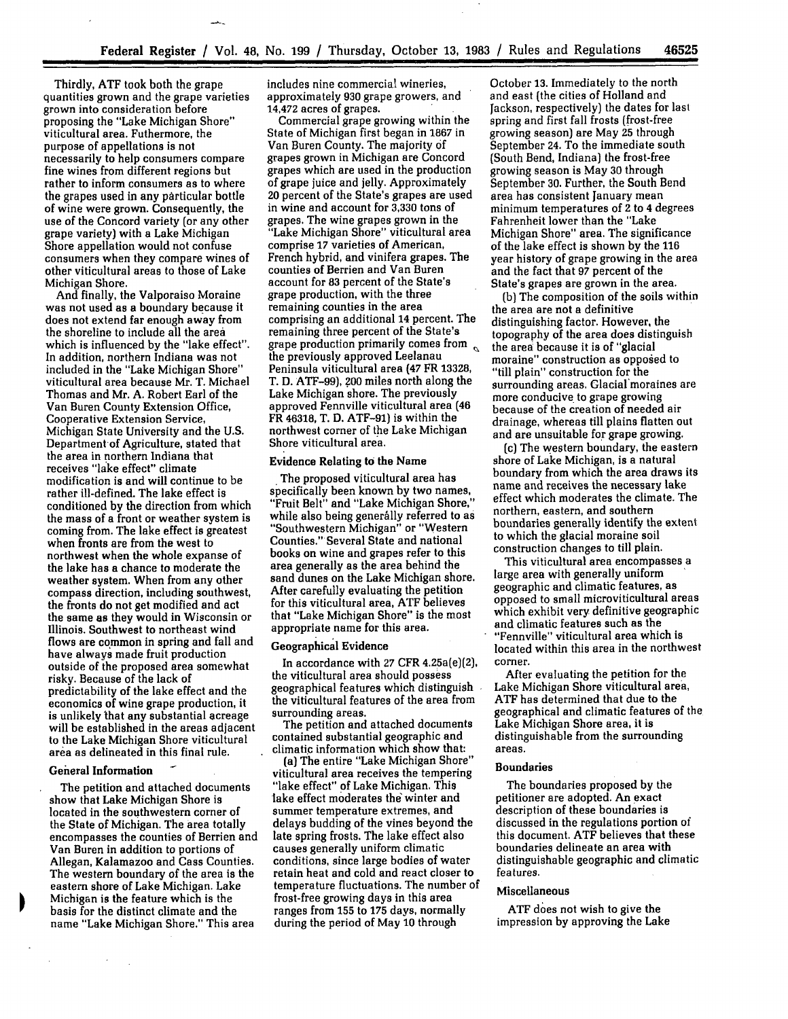Thirdly, ATF took both the grape quantities grown and the grape varieties grown into consideration before proposing the "Lake Michigan Shore" viticultural area. Futhermore, the purpose of appellations is not necessarily to help consumers compare fine wines from different regions but rather to inform consumers as to where the grapes used in any particular bottle of wine were grown. Consequently, the use of the Concord variety (or any other grape variety) with a Lake Michigan Shore appellation would not confuse consumers when they compare wines of other viticultural areas to those of Lake Michigan Shore.

And finally, the Valporaiso Moraine was not used as **a** boundary because it does not extend far enough away from the shoreline to include all the area which is influenced by the "lake effect". In addition, northern Indiana was not included in the "Lake Michigan Shore" viticultural area because Mr. T. Michael Thomas and Mr. A. Robert Earl of the Van Buren County Extension Office, Cooperative Extension Service, Michigan State University and the U.S. Department-of Agriculture, stated that the area in northern Indiana that receives "lake effect" climate modification is and will continue to be rather ill-defined. The lake effect is conditioned by the direction from which the mass of a front or weather system is coming from. The lake effect is greatest when fronts are from the west to northwest when the whole expanse of the lake has a chance to moderate the weather system. When from any other compass direction, including southwest, the fronts do not get modified and act the same as they would in Wisconsin or Illinois. Southwest to northeast wind flows are common in spring and fall and have always made fruit production outside of the proposed area somewhat risky. Because of the lack of predictability of the lake effect and the economics of wine grape production, it is unlikely that any substantial acreage will be established in the areas adjacent to the Lake Michigan Shore viticultural area as delineated in this final rule.

### **General Information**

 $\sim$  $\bar{\mathcal{A}}$ 

The petition and attached documents show that Lake Michigan Shore is located in the southwestern corner of the State of Michigan. The area totally encompasses the counties of Berrien and Van Buren in addition to portions of Allegan, Kalamazoo and Cass Counties. The western boundary of the area is the eastern shore of Lake Michigan. Lake Michigan is the feature which is the basis for the distinct climate and the name "Lake Michigan Shore." This area

includes nine commercial wineries, approximately **930** grape growers, and 14,472 acres of grapes.

Commercial grape growing within the State of Michigan first began in 1867 in Van Buren County. The majority **of** grapes grown in Michigan are Concord grapes which are used in the production of grape juice and jelly. Approximately 20 percent of the State's grapes are used in wine and account for 3,330 tons of grapes. The wine grapes grown in the "Lake Michigan Shore" viticultural area comprise 17 varieties of American, French hybrid, and vinifera grapes. The counties of Berrien and Van Buren account for **83** percent of the State's grape production, with the three remaining counties in the area comprising an additional 14 percent. The remaining three percent of the State's grape production primarily comes from  $\sim$ the previously approved Leelanau Peninsula viticultural area (47 FR 13328, T. **D.** ATF-99), **?00** miles north along the Lake Michigan shore. The previously approved Fennville viticultural area (46 FR 46318, T. D. ATF-91) is within the northwest corner of the Lake Michigan Shore viticultural area.

#### Evidence Relating to the Name

**.** The proposed viticultural area has specifically been known by two names, "Fruit Belt" and "Lake Michigan Shore," while also being generally referred to as "Southwestern Michigan" or "Western Counties." Several State and national books on wine and grapes refer to this area generally as the area behind the sand dunes on the Lake Michigan shore. After carefully evaluating the petition for this viticultural area, ATF believes that "Lake Michigan Shore" is the most appropriate name for this area.

### Geographical **Evidence**

In accordance with 27 CFR 4.25a(e)(2), the viticultural area should possess geographical features which distinguish the viticultural features of the area from surrounding areas.

The petition and attached documents contained substantial geographic and climatic information which show that:

(a) The entire "Lake Michigan Shore" viticultural area receives the tempering "lake effect" of Lake Michigan. This lake effect moderates the winter and summer temperature extremes, and delays budding of the vines beyond the late spring frosts. The lake effect also causes generally uniform climatic conditions, since large bodies of water retain heat and cold and react closer to temperature fluctuations. The number of frost-free growing days in this area ranges from 155 to **175** days, normally during the period of May **10** through

October 13. Immediately to the north and east (the cities of Holland and Jackson, respectively) the dates for last spring and first fall frosts (frost-free growing season) are May 25 through September 24. To the immediate south (South Bend, Indiana) the frost-free growing season is May 30 through September **30.** Further, the South Bend area has consistent January mean minimum temperatures of 2 to 4 degrees Fahrenheit lower than the "Lake Michigan Shore" area. The significance of the lake effect is shown by the 116 year history of grape growing in the area and the fact that 97 percent of the State's grapes are grown in the area.

**(b)** The composition of the soils within the area are not a definitive distinguishing factor. However, the topography of the area does distinguish the area because it is of "glacial moraine" construction as opposed to "till plain" construction for the surrounding areas. Glacial'moraines are more conducive to grape growing because of the creation of needed air drainage, whereas till plains flatten out and are unsuitable for grape growing.

(c) The western boundary, the eastern shore of Lake Michigan, is a natural boundary from which the area draws its name and receives the necessary lake effect which moderates the climate. The northern, eastern, and southern boundaries generally identify the extent to which the glacial moraine soil construction changes to till plain.

This viticultural area encompasses a large area with generally uniform geographic and climatic features, as opposed to small microviticultural areas which exhibit very definitive geographic and climatic features such as the "Fennville" viticultural area which is located within this area in the northwest corner.

After evaluating the petition for the Lake Michigan Shore viticultural area, ATF has determined that due to the geographical and climatic features of the Lake Michigan Shore area, it is distinguishable from the surrounding areas.

#### Boundaries

The boundaries proposed by the petitioner are adopted. An exact description of these boundaries is discussed in the regulations portion of this document. ATF believes that these boundaries delineate an area with distinguishable geographic and climatic features.

#### Miscellaneous

ATF does not wish to give the impression by approving the Lake